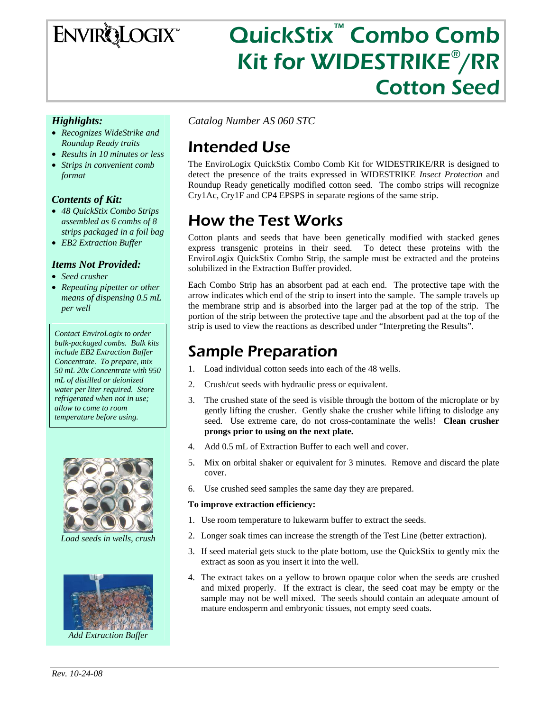# ENVIRQLOGIX<sup>®</sup>

# QuickStix™ Combo Comb Kit for WIDESTRIKE®/RR Cotton Seed

#### *Highlights:*

- *Recognizes WideStrike and Roundup Ready traits*
- *Results in 10 minutes or less*
- *Strips in convenient comb format*

### *Contents of Kit:*

- *48 QuickStix Combo Strips assembled as 6 combs of 8 strips packaged in a foil bag*
- *EB2 Extraction Buffer*

#### *Items Not Provided:*

- *Seed crusher*
- *Repeating pipetter or other means of dispensing 0.5 mL per well*

*Contact EnviroLogix to order bulk-packaged combs. Bulk kits include EB2 Extraction Buffer Concentrate. To prepare, mix 50 mL 20x Concentrate with 950 mL of distilled or deionized water per liter required. Store refrigerated when not in use; allow to come to room temperature before using.* 



*Load seeds in wells, crush* 



*Add Extraction Buffer* 

*Catalog Number AS 060 STC* 

## Intended Use

The EnviroLogix QuickStix Combo Comb Kit for WIDESTRIKE/RR is designed to detect the presence of the traits expressed in WIDESTRIKE *Insect Protection* and Roundup Ready genetically modified cotton seed. The combo strips will recognize Cry1Ac, Cry1F and CP4 EPSPS in separate regions of the same strip.

# How the Test Works

Cotton plants and seeds that have been genetically modified with stacked genes express transgenic proteins in their seed. To detect these proteins with the EnviroLogix QuickStix Combo Strip, the sample must be extracted and the proteins solubilized in the Extraction Buffer provided.

Each Combo Strip has an absorbent pad at each end. The protective tape with the arrow indicates which end of the strip to insert into the sample. The sample travels up the membrane strip and is absorbed into the larger pad at the top of the strip. The portion of the strip between the protective tape and the absorbent pad at the top of the strip is used to view the reactions as described under "Interpreting the Results".

### Sample Preparation

- 1. Load individual cotton seeds into each of the 48 wells.
- 2. Crush/cut seeds with hydraulic press or equivalent.
- 3. The crushed state of the seed is visible through the bottom of the microplate or by gently lifting the crusher. Gently shake the crusher while lifting to dislodge any seed. Use extreme care, do not cross-contaminate the wells! **Clean crusher prongs prior to using on the next plate.**
- 4. Add 0.5 mL of Extraction Buffer to each well and cover.
- 5. Mix on orbital shaker or equivalent for 3 minutes. Remove and discard the plate cover.
- 6. Use crushed seed samples the same day they are prepared.

#### **To improve extraction efficiency:**

- 1. Use room temperature to lukewarm buffer to extract the seeds.
- 2. Longer soak times can increase the strength of the Test Line (better extraction).
- 3. If seed material gets stuck to the plate bottom, use the QuickStix to gently mix the extract as soon as you insert it into the well.
- 4. The extract takes on a yellow to brown opaque color when the seeds are crushed and mixed properly. If the extract is clear, the seed coat may be empty or the sample may not be well mixed. The seeds should contain an adequate amount of mature endosperm and embryonic tissues, not empty seed coats.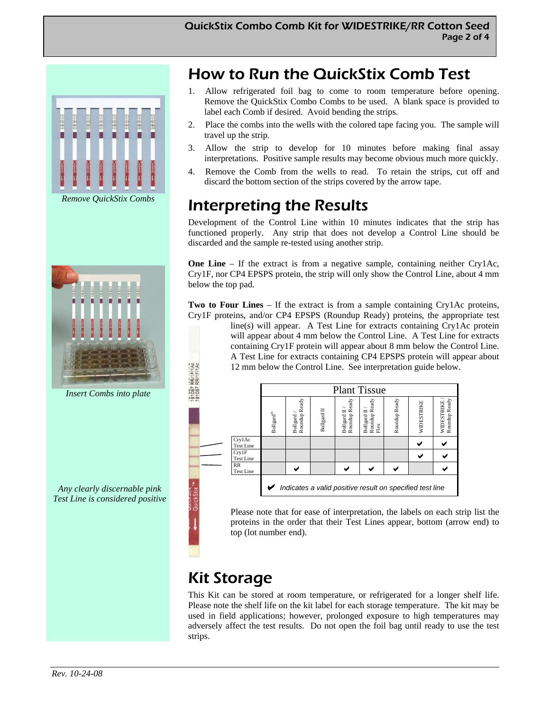

*Remove QuickStix Combs* 



*Insert Combs into plate* 

*Any clearly discernable pink Test Line is considered positive* 

### How to Run the QuickStix Comb Test

- 1. Allow refrigerated foil bag to come to room temperature before opening. Remove the QuickStix Combo Combs to be used. A blank space is provided to label each Comb if desired. Avoid bending the strips.
- 2. Place the combs into the wells with the colored tape facing you. The sample will travel up the strip.
- 3. Allow the strip to develop for 10 minutes before making final assay interpretations. Positive sample results may become obvious much more quickly.
- 4. Remove the Comb from the wells to read. To retain the strips, cut off and discard the bottom section of the strips covered by the arrow tape.

## Interpreting the Results

Development of the Control Line within 10 minutes indicates that the strip has functioned properly. Any strip that does not develop a Control Line should be discarded and the sample re-tested using another strip.

**One Line** – If the extract is from a negative sample, containing neither Cry1Ac, Cry1F, nor CP4 EPSPS protein, the strip will only show the Control Line, about 4 mm below the top pad.

**Two to Four Lines** – If the extract is from a sample containing Cry1Ac proteins, Cry1F proteins, and/or CP4 EPSPS (Roundup Ready) proteins, the appropriate test

line(s) will appear. A Test Line for extracts containing Cry1Ac protein will appear about 4 mm below the Control Line. A Test Line for extracts containing Cry1F protein will appear about 8 mm below the Control Line. A Test Line for extracts containing CP4 EPSPS protein will appear about 12 mm below the Control Line. See interpretation guide below.

|                                                          | <b>Plant Tissue</b>                   |                            |             |                               |                                      |               |            |                             |
|----------------------------------------------------------|---------------------------------------|----------------------------|-------------|-------------------------------|--------------------------------------|---------------|------------|-----------------------------|
|                                                          | $\operatorname{Bollgard}^\circledast$ | Roundup Ready<br>Bollgard/ | Bollgard II | Roundup Ready<br>Bollgard II/ | Roundup Ready<br>Flex<br>Bollgard II | Roundup Ready | WIDESTRIKE | Roundup Ready<br>WIDESTRIKE |
| CrylAc<br><b>Test Line</b>                               |                                       |                            |             |                               |                                      |               |            |                             |
| Crv1F<br><b>Test Line</b>                                |                                       |                            |             |                               |                                      |               |            |                             |
| RR<br><b>Test Line</b>                                   |                                       |                            |             |                               |                                      |               |            |                             |
| Indicates a valid positive result on specified test line |                                       |                            |             |                               |                                      |               |            |                             |

Please note that for ease of interpretation, the labels on each strip list the proteins in the order that their Test Lines appear, bottom (arrow end) to top (lot number end).

# Kit Storage

FITAC<br>FITAC

This Kit can be stored at room temperature, or refrigerated for a longer shelf life. Please note the shelf life on the kit label for each storage temperature. The kit may be used in field applications; however, prolonged exposure to high temperatures may adversely affect the test results. Do not open the foil bag until ready to use the test strips.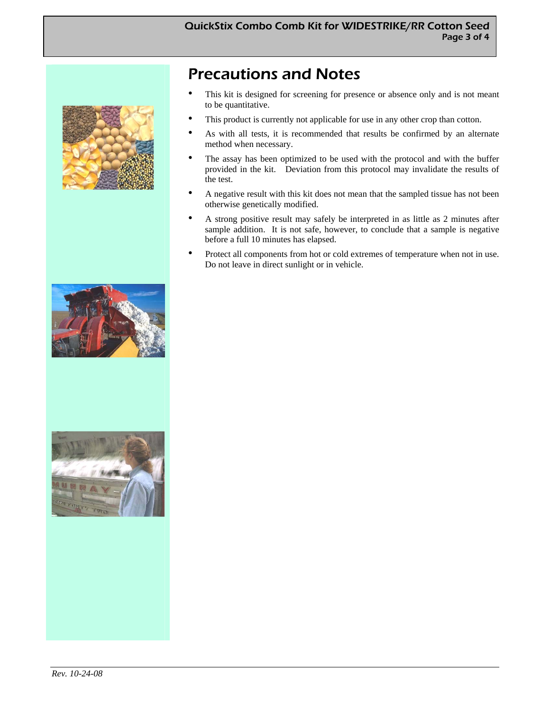

### Precautions and Notes

- This kit is designed for screening for presence or absence only and is not meant to be quantitative.
- This product is currently not applicable for use in any other crop than cotton.
- As with all tests, it is recommended that results be confirmed by an alternate method when necessary.
- The assay has been optimized to be used with the protocol and with the buffer provided in the kit. Deviation from this protocol may invalidate the results of the test.
- A negative result with this kit does not mean that the sampled tissue has not been otherwise genetically modified.
- A strong positive result may safely be interpreted in as little as 2 minutes after sample addition. It is not safe, however, to conclude that a sample is negative before a full 10 minutes has elapsed.
- Protect all components from hot or cold extremes of temperature when not in use. Do not leave in direct sunlight or in vehicle.